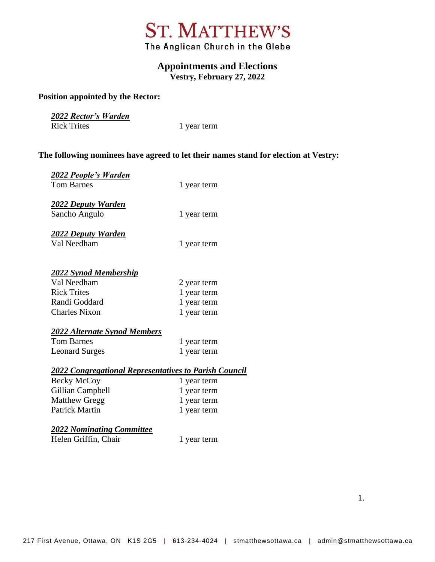

The Anglican Church in the Glebe

# **Appointments and Elections**

**Vestry, February 27, 2022**

## **Position appointed by the Rector:**

| 2022 Rector's Warden |  |
|----------------------|--|
| <b>Rick Trites</b>   |  |

year term

# **The following nominees have agreed to let their names stand for election at Vestry:**

| <u>2022 People's Warden</u>                                  |             |
|--------------------------------------------------------------|-------------|
| <b>Tom Barnes</b>                                            | 1 year term |
|                                                              |             |
| <b>2022 Deputy Warden</b>                                    |             |
| Sancho Angulo                                                | 1 year term |
| <b>2022 Deputy Warden</b>                                    |             |
| Val Needham                                                  | 1 year term |
|                                                              |             |
|                                                              |             |
| <u> 2022 Synod Membership</u>                                |             |
| Val Needham                                                  | 2 year term |
| <b>Rick Trites</b>                                           | 1 year term |
| Randi Goddard                                                | 1 year term |
| <b>Charles Nixon</b>                                         | 1 year term |
|                                                              |             |
| <u>2022 Alternate Synod Members</u>                          |             |
| <b>Tom Barnes</b>                                            | 1 year term |
| <b>Leonard Surges</b>                                        | 1 year term |
| <u>2022 Congregational Representatives to Parish Council</u> |             |
| <b>Becky McCoy</b>                                           | 1 year term |
| Gillian Campbell                                             | 1 year term |
| <b>Matthew Gregg</b>                                         | 1 year term |
| <b>Patrick Martin</b>                                        | 1 year term |
|                                                              |             |
|                                                              |             |

# *2022 Nominating Committee*

Helen Griffin, Chair 1 year term